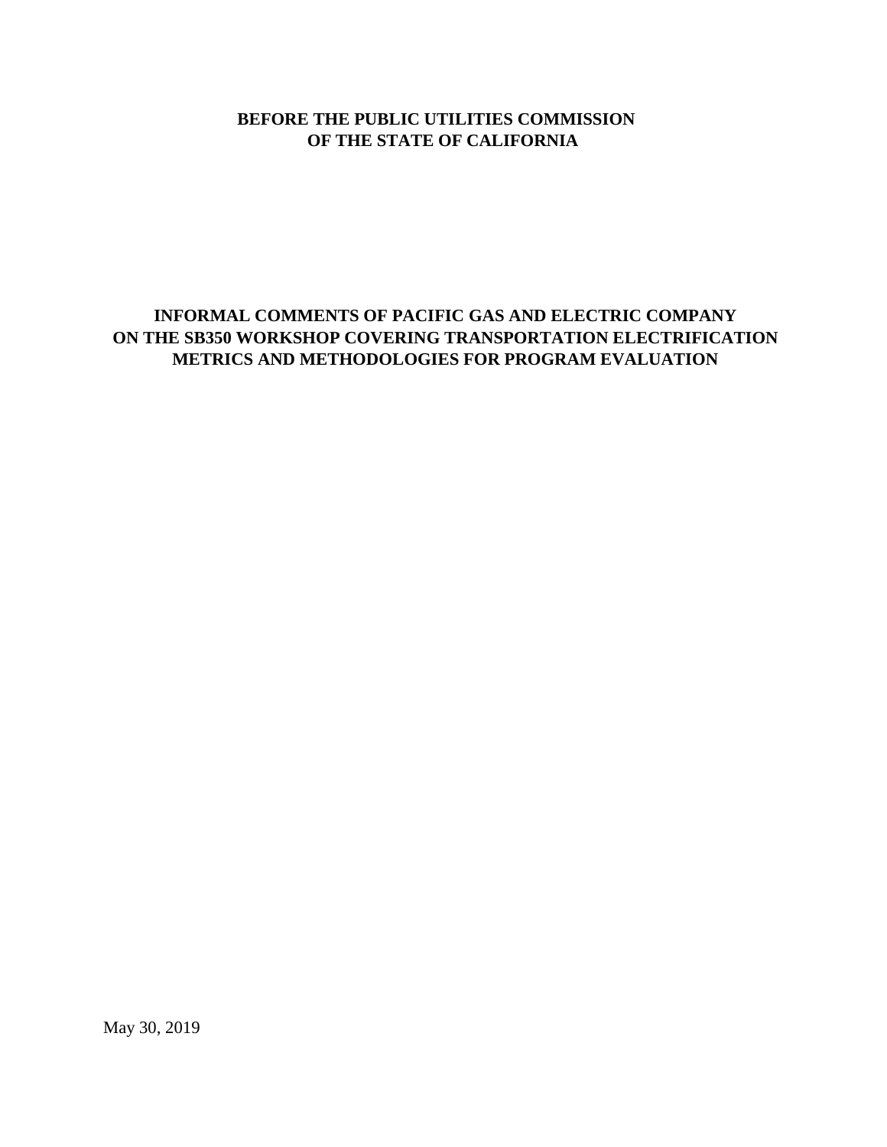### **BEFORE THE PUBLIC UTILITIES COMMISSION OF THE STATE OF CALIFORNIA**

# **INFORMAL COMMENTS OF PACIFIC GAS AND ELECTRIC COMPANY ON THE SB350 WORKSHOP COVERING TRANSPORTATION ELECTRIFICATION METRICS AND METHODOLOGIES FOR PROGRAM EVALUATION**

May 30, 2019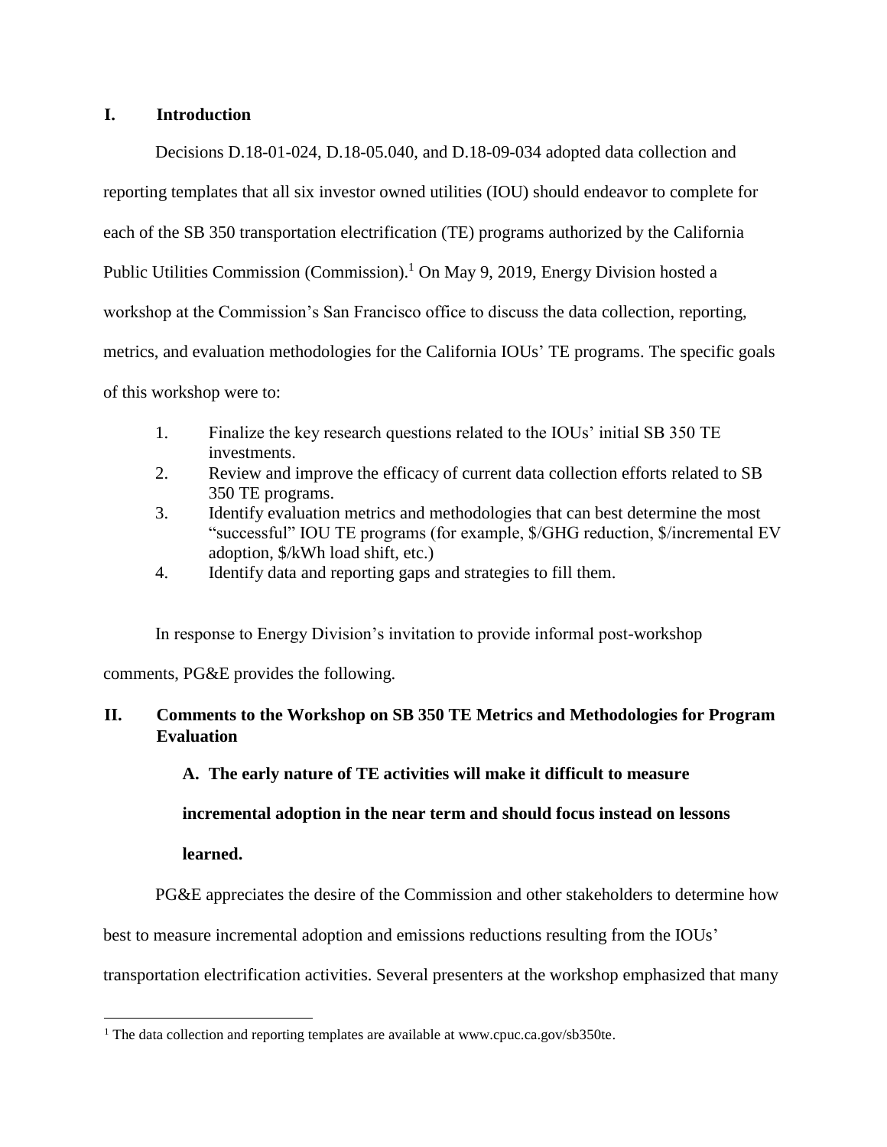#### **I. Introduction**

Decisions D.18-01-024, D.18-05.040, and D.18-09-034 adopted data collection and reporting templates that all six investor owned utilities (IOU) should endeavor to complete for each of the SB 350 transportation electrification (TE) programs authorized by the California Public Utilities Commission (Commission).<sup>1</sup> On May 9, 2019, Energy Division hosted a workshop at the Commission's San Francisco office to discuss the data collection, reporting, metrics, and evaluation methodologies for the California IOUs' TE programs. The specific goals of this workshop were to:

- 1. Finalize the key research questions related to the IOUs' initial SB 350 TE investments.
- 2. Review and improve the efficacy of current data collection efforts related to SB 350 TE programs.
- 3. Identify evaluation metrics and methodologies that can best determine the most "successful" IOU TE programs (for example, \$/GHG reduction, \$/incremental EV adoption, \$/kWh load shift, etc.)
- 4. Identify data and reporting gaps and strategies to fill them.

In response to Energy Division's invitation to provide informal post-workshop

comments, PG&E provides the following.

## **II. Comments to the Workshop on SB 350 TE Metrics and Methodologies for Program Evaluation**

### **A. The early nature of TE activities will make it difficult to measure**

### **incremental adoption in the near term and should focus instead on lessons**

#### **learned.**

 $\overline{\phantom{a}}$ 

PG&E appreciates the desire of the Commission and other stakeholders to determine how

best to measure incremental adoption and emissions reductions resulting from the IOUs'

transportation electrification activities. Several presenters at the workshop emphasized that many

<sup>&</sup>lt;sup>1</sup> The data collection and reporting templates are available at www.cpuc.ca.gov/sb350te.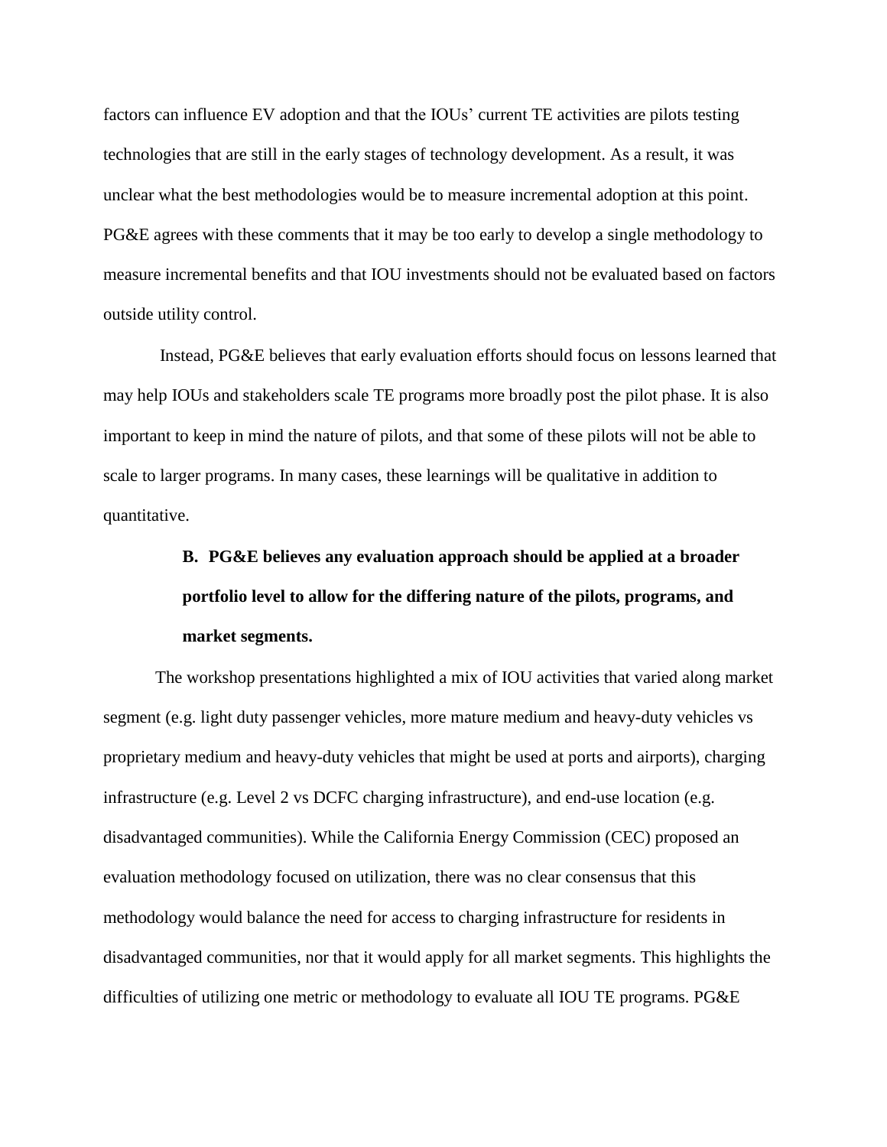factors can influence EV adoption and that the IOUs' current TE activities are pilots testing technologies that are still in the early stages of technology development. As a result, it was unclear what the best methodologies would be to measure incremental adoption at this point. PG&E agrees with these comments that it may be too early to develop a single methodology to measure incremental benefits and that IOU investments should not be evaluated based on factors outside utility control.

Instead, PG&E believes that early evaluation efforts should focus on lessons learned that may help IOUs and stakeholders scale TE programs more broadly post the pilot phase. It is also important to keep in mind the nature of pilots, and that some of these pilots will not be able to scale to larger programs. In many cases, these learnings will be qualitative in addition to quantitative.

# **B. PG&E believes any evaluation approach should be applied at a broader portfolio level to allow for the differing nature of the pilots, programs, and market segments.**

The workshop presentations highlighted a mix of IOU activities that varied along market segment (e.g. light duty passenger vehicles, more mature medium and heavy-duty vehicles vs proprietary medium and heavy-duty vehicles that might be used at ports and airports), charging infrastructure (e.g. Level 2 vs DCFC charging infrastructure), and end-use location (e.g. disadvantaged communities). While the California Energy Commission (CEC) proposed an evaluation methodology focused on utilization, there was no clear consensus that this methodology would balance the need for access to charging infrastructure for residents in disadvantaged communities, nor that it would apply for all market segments. This highlights the difficulties of utilizing one metric or methodology to evaluate all IOU TE programs. PG&E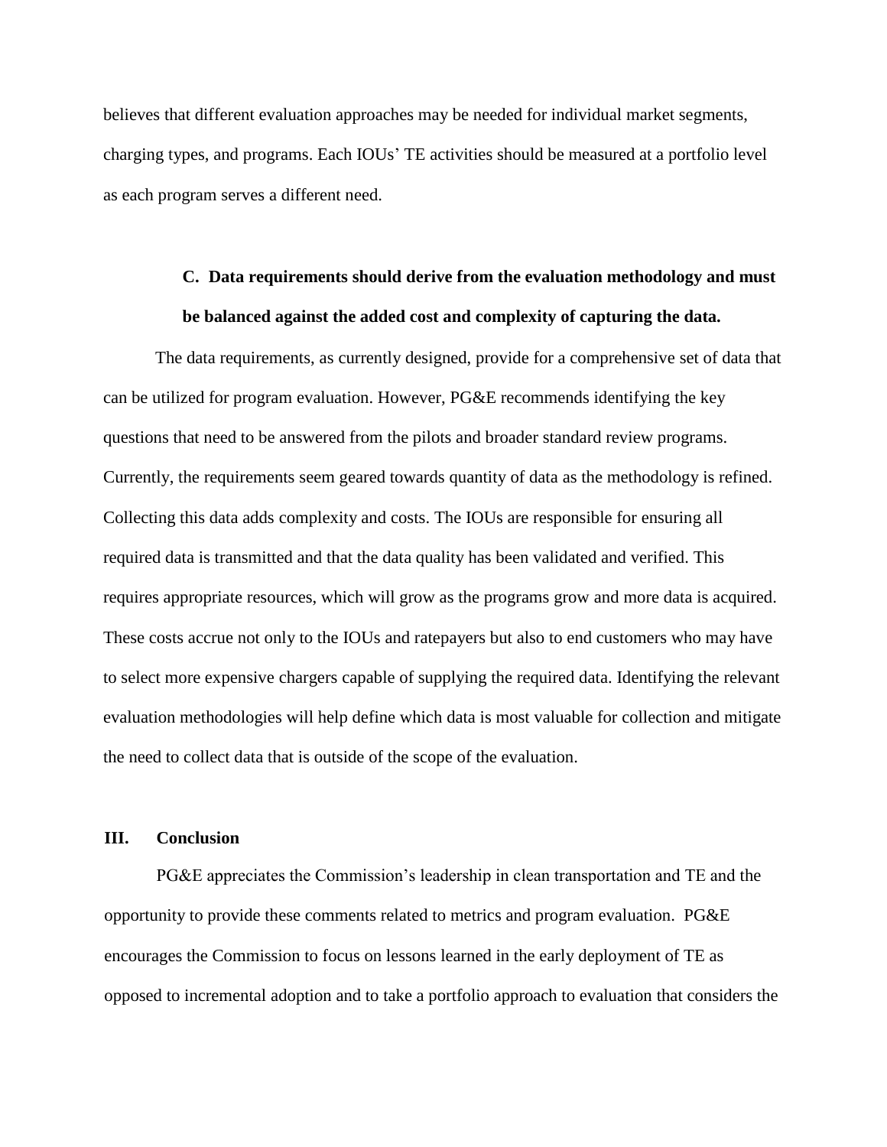believes that different evaluation approaches may be needed for individual market segments, charging types, and programs. Each IOUs' TE activities should be measured at a portfolio level as each program serves a different need.

# **C. Data requirements should derive from the evaluation methodology and must be balanced against the added cost and complexity of capturing the data.**

The data requirements, as currently designed, provide for a comprehensive set of data that can be utilized for program evaluation. However, PG&E recommends identifying the key questions that need to be answered from the pilots and broader standard review programs. Currently, the requirements seem geared towards quantity of data as the methodology is refined. Collecting this data adds complexity and costs. The IOUs are responsible for ensuring all required data is transmitted and that the data quality has been validated and verified. This requires appropriate resources, which will grow as the programs grow and more data is acquired. These costs accrue not only to the IOUs and ratepayers but also to end customers who may have to select more expensive chargers capable of supplying the required data. Identifying the relevant evaluation methodologies will help define which data is most valuable for collection and mitigate the need to collect data that is outside of the scope of the evaluation.

#### **III. Conclusion**

PG&E appreciates the Commission's leadership in clean transportation and TE and the opportunity to provide these comments related to metrics and program evaluation. PG&E encourages the Commission to focus on lessons learned in the early deployment of TE as opposed to incremental adoption and to take a portfolio approach to evaluation that considers the